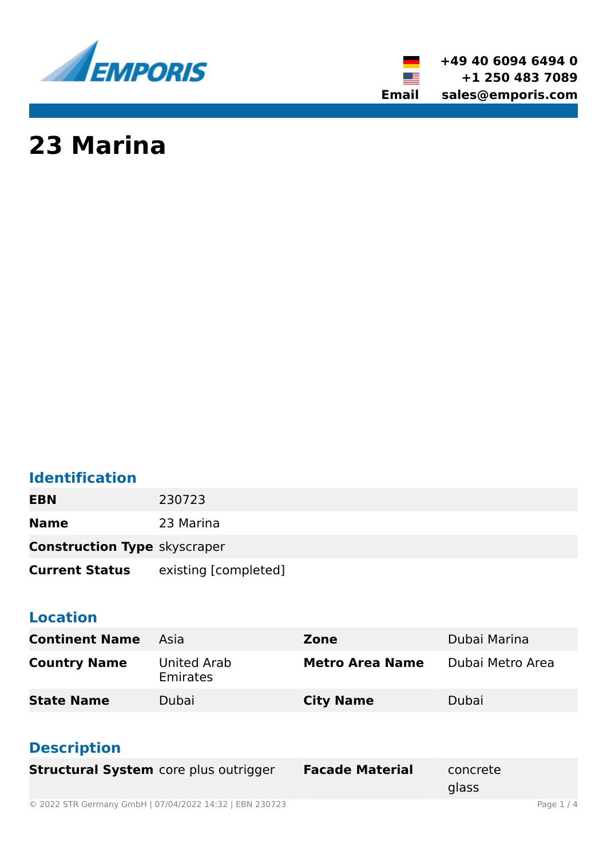

**+49 40 6094 6494 0 +1 250 483 7089 Email sales@emporis.com**

▓▆

# **23 Marina**

### **Identification**

**EBN** 230723 **Name** 23 Marina

**Construction Type** skyscraper

**Current Status** existing [completed]

### **Location**

| <b>Continent Name</b> | Asia                    | Zone                   | Dubai Marina     |
|-----------------------|-------------------------|------------------------|------------------|
| <b>Country Name</b>   | United Arab<br>Emirates | <b>Metro Area Name</b> | Dubai Metro Area |
| <b>State Name</b>     | Dubai                   | <b>City Name</b>       | Dubai            |

### **Description**

| <b>Structural System</b> core plus outrigger   | <b>Facade Material</b> | concrete<br>glass |  |
|------------------------------------------------|------------------------|-------------------|--|
| - :::: --------------------------<br>--------- |                        |                   |  |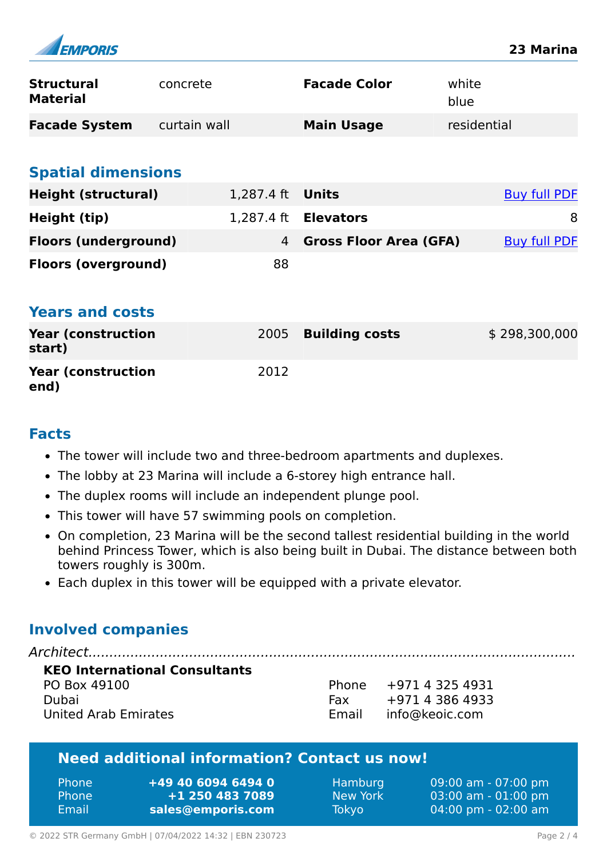| <b>EMPORIS</b>                       |              |            |                               |               | 23 Marina           |
|--------------------------------------|--------------|------------|-------------------------------|---------------|---------------------|
| <b>Structural</b><br><b>Material</b> | concrete     |            | <b>Facade Color</b>           | white<br>blue |                     |
| <b>Facade System</b>                 | curtain wall |            | <b>Main Usage</b>             | residential   |                     |
| <b>Spatial dimensions</b>            |              |            |                               |               |                     |
| <b>Height (structural)</b>           |              | 1,287.4 ft | <b>Units</b>                  |               | <b>Buy full PDF</b> |
| Height (tip)                         |              |            | 1,287.4 ft <b>Elevators</b>   |               | 8                   |
| <b>Floors (underground)</b>          |              | 4          | <b>Gross Floor Area (GFA)</b> |               | <b>Buy full PDF</b> |
| <b>Floors (overground)</b>           |              | 88         |                               |               |                     |
| <b>Years and costs</b>               |              |            |                               |               |                     |
| <b>Year (construction</b><br>start)  |              | 2005       | <b>Building costs</b>         |               | \$298,300,000       |
| <b>Year (construction</b><br>end)    |              | 2012       |                               |               |                     |

#### **Facts**

 $\overline{a}$ 

- The tower will include two and three-bedroom apartments and duplexes.
- The lobby at 23 Marina will include a 6-storey high entrance hall.
- The duplex rooms will include an independent plunge pool.
- This tower will have 57 swimming pools on completion.
- On completion, 23 Marina will be the second tallest residential building in the world behind Princess Tower, which is also being built in Dubai. The distance between both towers roughly is 300m.
- Each duplex in this tower will be equipped with a private elevator.

### **Involved companies**

| <b>KEO International Consultants</b> |     |                         |
|--------------------------------------|-----|-------------------------|
| PO Box 49100                         |     | Phone $+971$ 4 325 4931 |
| Dubai                                | Fax | +971 4 386 4933         |
| United Arab Emirates                 |     | Email info@keoic.com    |

### **Need additional information? Contact us now!**

| <b>Phone</b> | $+49$ 40 6094 6494 0 |
|--------------|----------------------|
| <b>Phone</b> | +1 250 483 7089      |
| Email        | sales@emporis.com    |

Hamburg 09:00 am - 07:00 pm New York 03:00 am - 01:00 pm Tokyo 04:00 pm - 02:00 am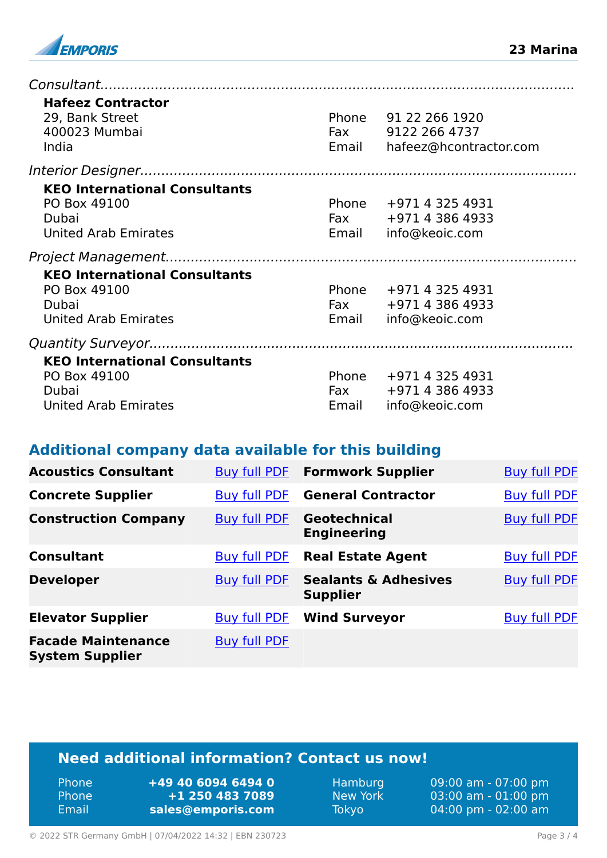

| <b>Hafeez Contractor</b><br>29, Bank Street<br>400023 Mumbai<br>India                        | Phone          | 91 22 266 1920<br>Fax 9122 266 4737<br>Email hafeez@hcontractor.com    |
|----------------------------------------------------------------------------------------------|----------------|------------------------------------------------------------------------|
|                                                                                              |                |                                                                        |
| <b>KEO International Consultants</b><br>PO Box 49100<br>Dubai<br><b>United Arab Emirates</b> |                | Phone +971 4 325 4931<br>Fax $+971$ 4 386 4933<br>Email info@keoic.com |
|                                                                                              |                |                                                                        |
| <b>KEO International Consultants</b><br>PO Box 49100<br>Dubai<br><b>United Arab Emirates</b> |                | Phone +971 4 325 4931<br>Fax +971 4 386 4933<br>Email info@keoic.com   |
|                                                                                              |                |                                                                        |
| <b>KEO International Consultants</b><br>PO Box 49100<br>Dubai<br><b>United Arab Emirates</b> | Phone<br>Email | +971 4 325 4931<br>Fax $+971$ 4 386 4933<br>info@keoic.com             |

#### **Additional company data available for this building**

| <b>Acoustics Consultant</b>                         | Buy full PDF        | <b>Formwork Supplier</b>                           | <b>Buy full PDF</b> |
|-----------------------------------------------------|---------------------|----------------------------------------------------|---------------------|
| <b>Concrete Supplier</b>                            | <b>Buy full PDF</b> | <b>General Contractor</b>                          | <b>Buy full PDF</b> |
| <b>Construction Company</b>                         | <b>Buy full PDF</b> | Geotechnical<br><b>Engineering</b>                 | <b>Buy full PDF</b> |
| <b>Consultant</b>                                   | <b>Buy full PDF</b> | <b>Real Estate Agent</b>                           | <b>Buy full PDF</b> |
| <b>Developer</b>                                    | <b>Buy full PDF</b> | <b>Sealants &amp; Adhesives</b><br><b>Supplier</b> | <b>Buy full PDF</b> |
| <b>Elevator Supplier</b>                            | <b>Buy full PDF</b> | <b>Wind Surveyor</b>                               | <b>Buy full PDF</b> |
| <b>Facade Maintenance</b><br><b>System Supplier</b> | <b>Buy full PDF</b> |                                                    |                     |

### **Need additional information? Contact us now!**

| <b>Phone</b> | +49 40 6094 6494 0 |
|--------------|--------------------|
| <b>Phone</b> | +1 250 483 7089    |
| Email        | sales@emporis.com  |

Hamburg 09:00 am - 07:00 pm<br>New York 03:00 am - 01:00 pm New York 03:00 am - 01:00 pm<br>Tokyo 04:00 pm - 02:00 am 04:00 pm - 02:00 am